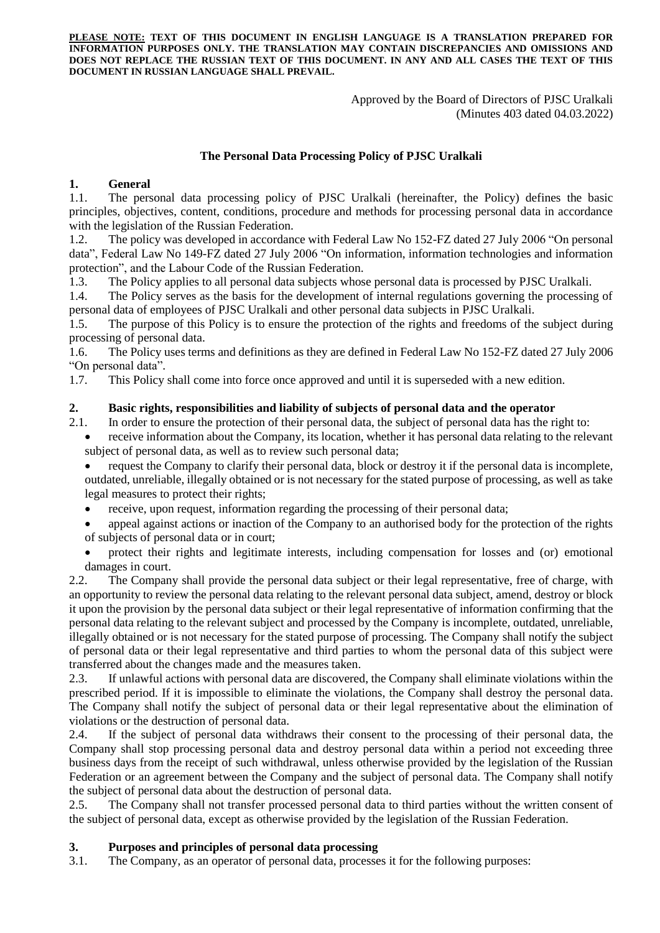**PLEASE NOTE: TEXT OF THIS DOCUMENT IN ENGLISH LANGUAGE IS A TRANSLATION PREPARED FOR INFORMATION PURPOSES ONLY. THE TRANSLATION MAY CONTAIN DISCREPANCIES AND OMISSIONS AND DOES NOT REPLACE THE RUSSIAN TEXT OF THIS DOCUMENT. IN ANY AND ALL CASES THE TEXT OF THIS DOCUMENT IN RUSSIAN LANGUAGE SHALL PREVAIL.**

> Approved by the Board of Directors of PJSC Uralkali (Minutes 403 dated 04.03.2022)

### **The Personal Data Processing Policy of PJSC Uralkali**

## **1. General**

1.1. The personal data processing policy of PJSC Uralkali (hereinafter, the Policy) defines the basic principles, objectives, content, conditions, procedure and methods for processing personal data in accordance with the legislation of the Russian Federation.

1.2. The policy was developed in accordance with Federal Law No 152-FZ dated 27 July 2006 "On personal data", Federal Law No 149-FZ dated 27 July 2006 "On information, information technologies and information protection", and the Labour Code of the Russian Federation.

1.3. The Policy applies to all personal data subjects whose personal data is processed by PJSC Uralkali.

1.4. The Policy serves as the basis for the development of internal regulations governing the processing of personal data of employees of PJSC Uralkali and other personal data subjects in PJSC Uralkali.

1.5. The purpose of this Policy is to ensure the protection of the rights and freedoms of the subject during processing of personal data.

1.6. The Policy uses terms and definitions as they are defined in Federal Law No 152-FZ dated 27 July 2006 "On personal data".

1.7. This Policy shall come into force once approved and until it is superseded with a new edition.

## **2. Basic rights, responsibilities and liability of subjects of personal data and the operator**

- 2.1. In order to ensure the protection of their personal data, the subject of personal data has the right to:
	- receive information about the Company, its location, whether it has personal data relating to the relevant subject of personal data, as well as to review such personal data;

 request the Company to clarify their personal data, block or destroy it if the personal data is incomplete, outdated, unreliable, illegally obtained or is not necessary for the stated purpose of processing, as well as take legal measures to protect their rights;

- receive, upon request, information regarding the processing of their personal data;
- appeal against actions or inaction of the Company to an authorised body for the protection of the rights of subjects of personal data or in court;
- protect their rights and legitimate interests, including compensation for losses and (or) emotional damages in court.

2.2. The Company shall provide the personal data subject or their legal representative, free of charge, with an opportunity to review the personal data relating to the relevant personal data subject, amend, destroy or block it upon the provision by the personal data subject or their legal representative of information confirming that the personal data relating to the relevant subject and processed by the Company is incomplete, outdated, unreliable, illegally obtained or is not necessary for the stated purpose of processing. The Company shall notify the subject of personal data or their legal representative and third parties to whom the personal data of this subject were transferred about the changes made and the measures taken.

2.3. If unlawful actions with personal data are discovered, the Company shall eliminate violations within the prescribed period. If it is impossible to eliminate the violations, the Company shall destroy the personal data. The Company shall notify the subject of personal data or their legal representative about the elimination of violations or the destruction of personal data.

2.4. If the subject of personal data withdraws their consent to the processing of their personal data, the Company shall stop processing personal data and destroy personal data within a period not exceeding three business days from the receipt of such withdrawal, unless otherwise provided by the legislation of the Russian Federation or an agreement between the Company and the subject of personal data. The Company shall notify the subject of personal data about the destruction of personal data.

2.5. The Company shall not transfer processed personal data to third parties without the written consent of the subject of personal data, except as otherwise provided by the legislation of the Russian Federation.

### **3. Purposes and principles of personal data processing**

3.1. The Company, as an operator of personal data, processes it for the following purposes: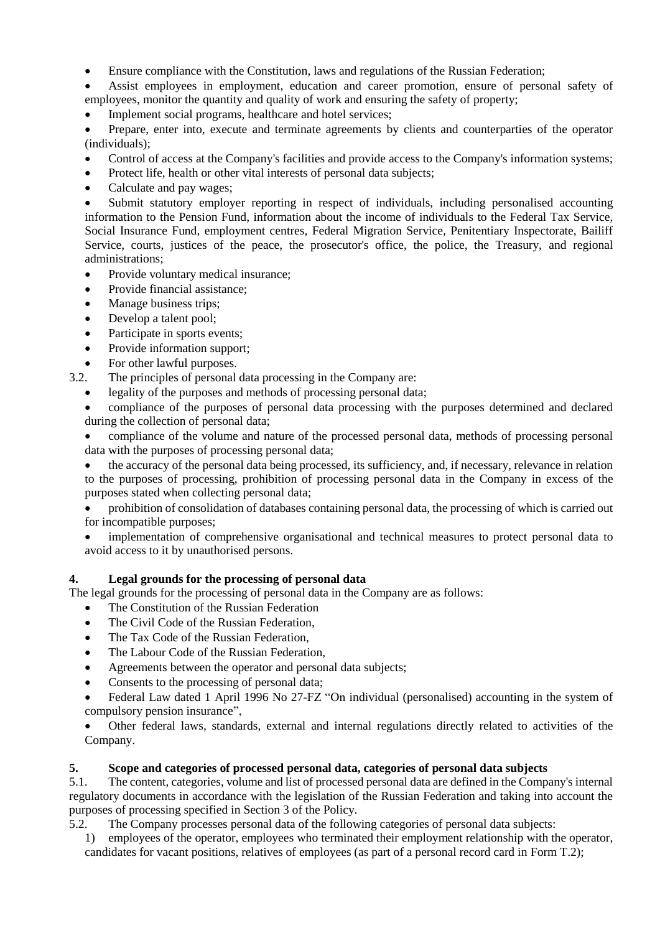Ensure compliance with the Constitution, laws and regulations of the Russian Federation;

 Assist employees in employment, education and career promotion, ensure of personal safety of employees, monitor the quantity and quality of work and ensuring the safety of property;

Implement social programs, healthcare and hotel services;

 Prepare, enter into, execute and terminate agreements by clients and counterparties of the operator (individuals);

- Control of access at the Company's facilities and provide access to the Company's information systems;
- Protect life, health or other vital interests of personal data subjects;
- Calculate and pay wages;

 Submit statutory employer reporting in respect of individuals, including personalised accounting information to the Pension Fund, information about the income of individuals to the Federal Tax Service, Social Insurance Fund, employment centres, Federal Migration Service, Penitentiary Inspectorate, Bailiff Service, courts, justices of the peace, the prosecutor's office, the police, the Treasury, and regional administrations;

- Provide voluntary medical insurance;
- Provide financial assistance;
- Manage business trips;
- Develop a talent pool;
- Participate in sports events;
- Provide information support;
- For other lawful purposes.
- 3.2. The principles of personal data processing in the Company are:
	- legality of the purposes and methods of processing personal data;

 compliance of the purposes of personal data processing with the purposes determined and declared during the collection of personal data;

 compliance of the volume and nature of the processed personal data, methods of processing personal data with the purposes of processing personal data;

 the accuracy of the personal data being processed, its sufficiency, and, if necessary, relevance in relation to the purposes of processing, prohibition of processing personal data in the Company in excess of the purposes stated when collecting personal data;

 prohibition of consolidation of databases containing personal data, the processing of which is carried out for incompatible purposes;

 implementation of comprehensive organisational and technical measures to protect personal data to avoid access to it by unauthorised persons.

# **4. Legal grounds for the processing of personal data**

The legal grounds for the processing of personal data in the Company are as follows:

- The Constitution of the Russian Federation
- The Civil Code of the Russian Federation,
- The Tax Code of the Russian Federation.
- The Labour Code of the Russian Federation,
- Agreements between the operator and personal data subjects;
- Consents to the processing of personal data;

 Federal Law dated 1 April 1996 No 27-FZ "On individual (personalised) accounting in the system of compulsory pension insurance",

 Other federal laws, standards, external and internal regulations directly related to activities of the Company.

# **5. Scope and categories of processed personal data, categories of personal data subjects**

5.1. The content, categories, volume and list of processed personal data are defined in the Company's internal regulatory documents in accordance with the legislation of the Russian Federation and taking into account the purposes of processing specified in Section 3 of the Policy.

5.2. The Company processes personal data of the following categories of personal data subjects:

1) employees of the operator, employees who terminated their employment relationship with the operator, candidates for vacant positions, relatives of employees (as part of a personal record card in Form T.2);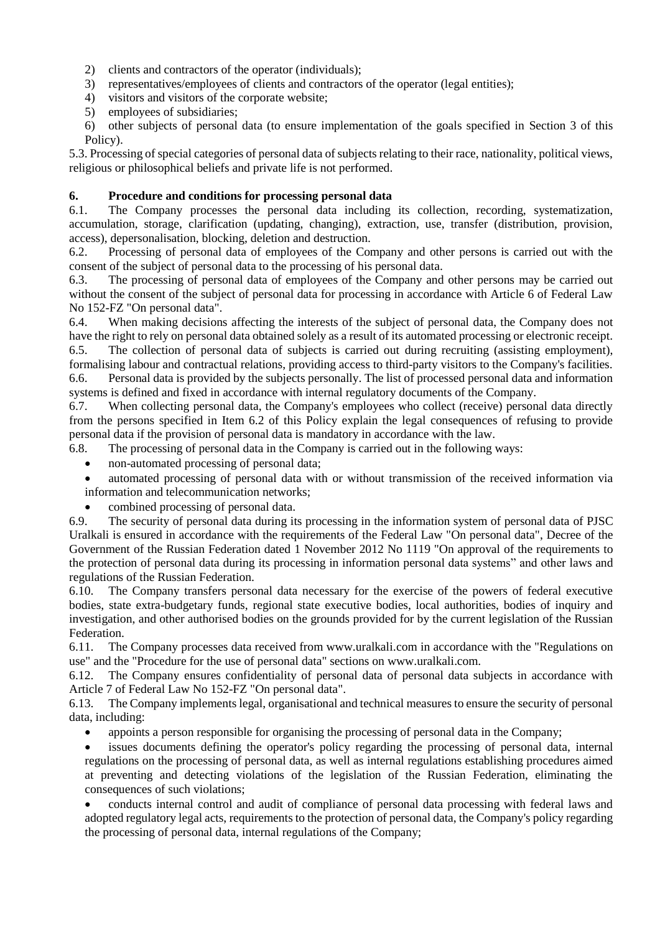- 2) clients and contractors of the operator (individuals);
- 3) representatives/employees of clients and contractors of the operator (legal entities);
- 4) visitors and visitors of the corporate website;
- 5) employees of subsidiaries;

6) other subjects of personal data (to ensure implementation of the goals specified in Section 3 of this Policy).

5.3. Processing of special categories of personal data of subjects relating to their race, nationality, political views, religious or philosophical beliefs and private life is not performed.

## **6. Procedure and conditions for processing personal data**

6.1. The Company processes the personal data including its collection, recording, systematization, accumulation, storage, clarification (updating, changing), extraction, use, transfer (distribution, provision, access), depersonalisation, blocking, deletion and destruction.

6.2. Processing of personal data of employees of the Company and other persons is carried out with the consent of the subject of personal data to the processing of his personal data.

6.3. The processing of personal data of employees of the Company and other persons may be carried out without the consent of the subject of personal data for processing in accordance with Article 6 of Federal Law No 152-FZ "On personal data".

6.4. When making decisions affecting the interests of the subject of personal data, the Company does not have the right to rely on personal data obtained solely as a result of its automated processing or electronic receipt. 6.5. The collection of personal data of subjects is carried out during recruiting (assisting employment), formalising labour and contractual relations, providing access to third-party visitors to the Company's facilities.

6.6. Personal data is provided by the subjects personally. The list of processed personal data and information systems is defined and fixed in accordance with internal regulatory documents of the Company.

6.7. When collecting personal data, the Company's employees who collect (receive) personal data directly from the persons specified in Item 6.2 of this Policy explain the legal consequences of refusing to provide personal data if the provision of personal data is mandatory in accordance with the law.

6.8. The processing of personal data in the Company is carried out in the following ways:

- non-automated processing of personal data;
- automated processing of personal data with or without transmission of the received information via information and telecommunication networks;
- combined processing of personal data.

6.9. The security of personal data during its processing in the information system of personal data of PJSC Uralkali is ensured in accordance with the requirements of the Federal Law "On personal data", Decree of the Government of the Russian Federation dated 1 November 2012 No 1119 "On approval of the requirements to the protection of personal data during its processing in information personal data systems" and other laws and regulations of the Russian Federation.

6.10. The Company transfers personal data necessary for the exercise of the powers of federal executive bodies, state extra-budgetary funds, regional state executive bodies, local authorities, bodies of inquiry and investigation, and other authorised bodies on the grounds provided for by the current legislation of the Russian Federation.

6.11. The Company processes data received from www.uralkali.com in accordance with the "Regulations on use" and the "Procedure for the use of personal data" sections on www.uralkali.com.

6.12. The Company ensures confidentiality of personal data of personal data subjects in accordance with Article 7 of Federal Law No 152-FZ "On personal data".

6.13. The Company implements legal, organisational and technical measures to ensure the security of personal data, including:

appoints a person responsible for organising the processing of personal data in the Company;

 issues documents defining the operator's policy regarding the processing of personal data, internal regulations on the processing of personal data, as well as internal regulations establishing procedures aimed at preventing and detecting violations of the legislation of the Russian Federation, eliminating the consequences of such violations;

 conducts internal control and audit of compliance of personal data processing with federal laws and adopted regulatory legal acts, requirements to the protection of personal data, the Company's policy regarding the processing of personal data, internal regulations of the Company;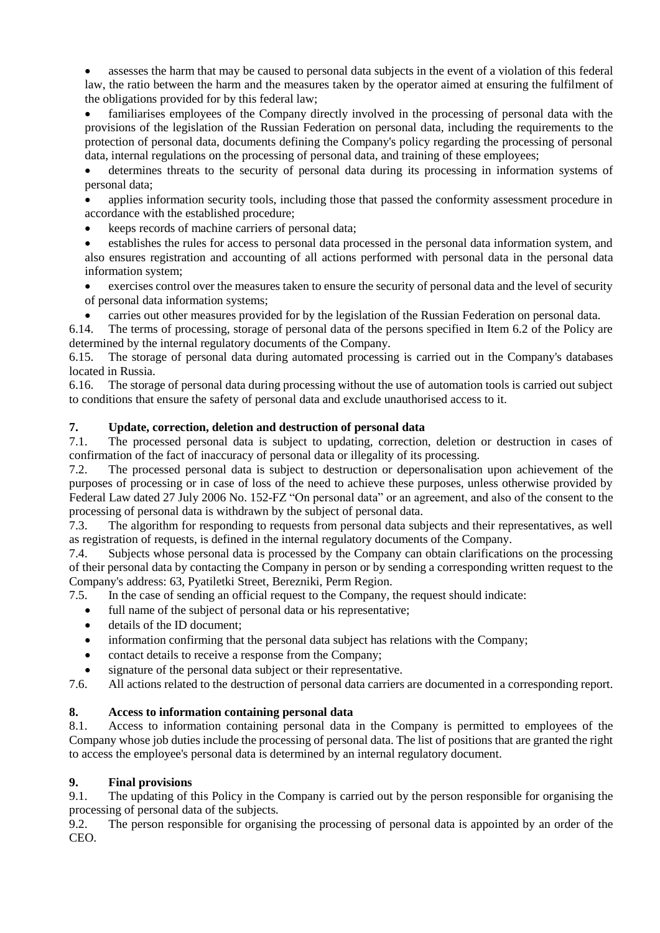assesses the harm that may be caused to personal data subjects in the event of a violation of this federal law, the ratio between the harm and the measures taken by the operator aimed at ensuring the fulfilment of the obligations provided for by this federal law;

 familiarises employees of the Company directly involved in the processing of personal data with the provisions of the legislation of the Russian Federation on personal data, including the requirements to the protection of personal data, documents defining the Company's policy regarding the processing of personal data, internal regulations on the processing of personal data, and training of these employees;

 determines threats to the security of personal data during its processing in information systems of personal data;

 applies information security tools, including those that passed the conformity assessment procedure in accordance with the established procedure;

keeps records of machine carriers of personal data;

 establishes the rules for access to personal data processed in the personal data information system, and also ensures registration and accounting of all actions performed with personal data in the personal data information system;

 exercises control over the measures taken to ensure the security of personal data and the level of security of personal data information systems;

carries out other measures provided for by the legislation of the Russian Federation on personal data.

6.14. The terms of processing, storage of personal data of the persons specified in Item 6.2 of the Policy are determined by the internal regulatory documents of the Company.

6.15. The storage of personal data during automated processing is carried out in the Company's databases located in Russia.

6.16. The storage of personal data during processing without the use of automation tools is carried out subject to conditions that ensure the safety of personal data and exclude unauthorised access to it.

## **7. Update, correction, deletion and destruction of personal data**

7.1. The processed personal data is subject to updating, correction, deletion or destruction in cases of confirmation of the fact of inaccuracy of personal data or illegality of its processing.

7.2. The processed personal data is subject to destruction or depersonalisation upon achievement of the purposes of processing or in case of loss of the need to achieve these purposes, unless otherwise provided by Federal Law dated 27 July 2006 No. 152-FZ "On personal data" or an agreement, and also of the consent to the processing of personal data is withdrawn by the subject of personal data.

7.3. The algorithm for responding to requests from personal data subjects and their representatives, as well as registration of requests, is defined in the internal regulatory documents of the Company.

7.4. Subjects whose personal data is processed by the Company can obtain clarifications on the processing of their personal data by contacting the Company in person or by sending a corresponding written request to the Company's address: 63, Pyatiletki Street, Berezniki, Perm Region.

7.5. In the case of sending an official request to the Company, the request should indicate:

- full name of the subject of personal data or his representative;
- details of the ID document;
- information confirming that the personal data subject has relations with the Company;
- contact details to receive a response from the Company;
- signature of the personal data subject or their representative.

7.6. All actions related to the destruction of personal data carriers are documented in a corresponding report.

### **8. Access to information containing personal data**

8.1. Access to information containing personal data in the Company is permitted to employees of the Company whose job duties include the processing of personal data. The list of positions that are granted the right to access the employee's personal data is determined by an internal regulatory document.

### **9. Final provisions**

9.1. The updating of this Policy in the Company is carried out by the person responsible for organising the processing of personal data of the subjects.

9.2. The person responsible for organising the processing of personal data is appointed by an order of the CEO.